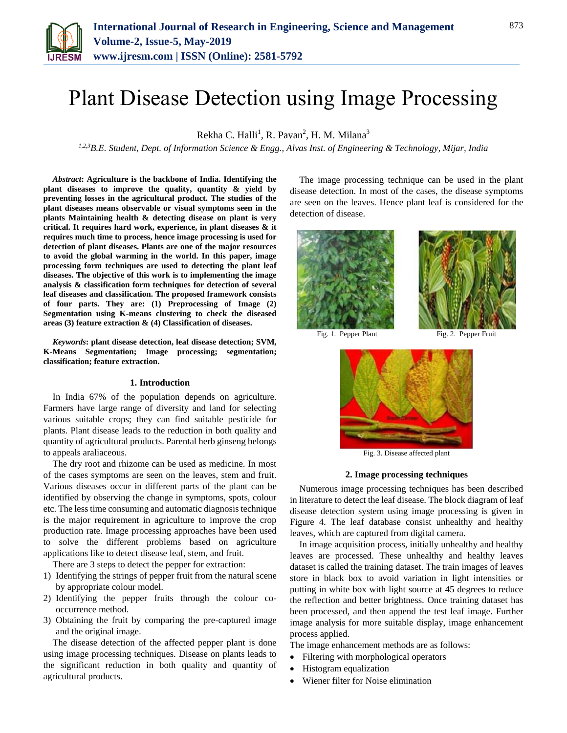

# Plant Disease Detection using Image Processing

Rekha C. Halli<sup>1</sup>, R. Pavan<sup>2</sup>, H. M. Milana<sup>3</sup>

*1,2,3B.E. Student, Dept. of Information Science & Engg., Alvas Inst. of Engineering & Technology, Mijar, India*

*Abstract***: Agriculture is the backbone of India. Identifying the plant diseases to improve the quality, quantity & yield by preventing losses in the agricultural product. The studies of the plant diseases means observable or visual symptoms seen in the plants Maintaining health & detecting disease on plant is very critical. It requires hard work, experience, in plant diseases & it requires much time to process, hence image processing is used for detection of plant diseases. Plants are one of the major resources to avoid the global warming in the world. In this paper, image processing form techniques are used to detecting the plant leaf diseases. The objective of this work is to implementing the image analysis & classification form techniques for detection of several leaf diseases and classification. The proposed framework consists of four parts. They are: (1) Preprocessing of Image (2) Segmentation using K-means clustering to check the diseased areas (3) feature extraction & (4) Classification of diseases.**

*Keywords***: plant disease detection, leaf disease detection; SVM, K-Means Segmentation; Image processing; segmentation; classification; feature extraction.**

## **1. Introduction**

In India 67% of the population depends on agriculture. Farmers have large range of diversity and land for selecting various suitable crops; they can find suitable pesticide for plants. Plant disease leads to the reduction in both quality and quantity of agricultural products. Parental herb ginseng belongs to appeals araliaceous.

The dry root and rhizome can be used as medicine. In most of the cases symptoms are seen on the leaves, stem and fruit. Various diseases occur in different parts of the plant can be identified by observing the change in symptoms, spots, colour etc. The less time consuming and automatic diagnosis technique is the major requirement in agriculture to improve the crop production rate. Image processing approaches have been used to solve the different problems based on agriculture applications like to detect disease leaf, stem, and fruit.

There are 3 steps to detect the pepper for extraction:

- 1) Identifying the strings of pepper fruit from the natural scene by appropriate colour model.
- 2) Identifying the pepper fruits through the colour cooccurrence method.
- 3) Obtaining the fruit by comparing the pre-captured image and the original image.

The disease detection of the affected pepper plant is done using image processing techniques. Disease on plants leads to the significant reduction in both quality and quantity of agricultural products.

The image processing technique can be used in the plant disease detection. In most of the cases, the disease symptoms are seen on the leaves. Hence plant leaf is considered for the detection of disease.



Fig. 1. Pepper Plant Fig. 2. Pepper Fruit



Fig. 3. Disease affected plant

## **2. Image processing techniques**

Numerous image processing techniques has been described in literature to detect the leaf disease. The block diagram of leaf disease detection system using image processing is given in Figure 4. The leaf database consist unhealthy and healthy leaves, which are captured from digital camera.

In image acquisition process, initially unhealthy and healthy leaves are processed. These unhealthy and healthy leaves dataset is called the training dataset. The train images of leaves store in black box to avoid variation in light intensities or putting in white box with light source at 45 degrees to reduce the reflection and better brightness. Once training dataset has been processed, and then append the test leaf image. Further image analysis for more suitable display, image enhancement process applied.

The image enhancement methods are as follows:

- Filtering with morphological operators
- Histogram equalization
- Wiener filter for Noise elimination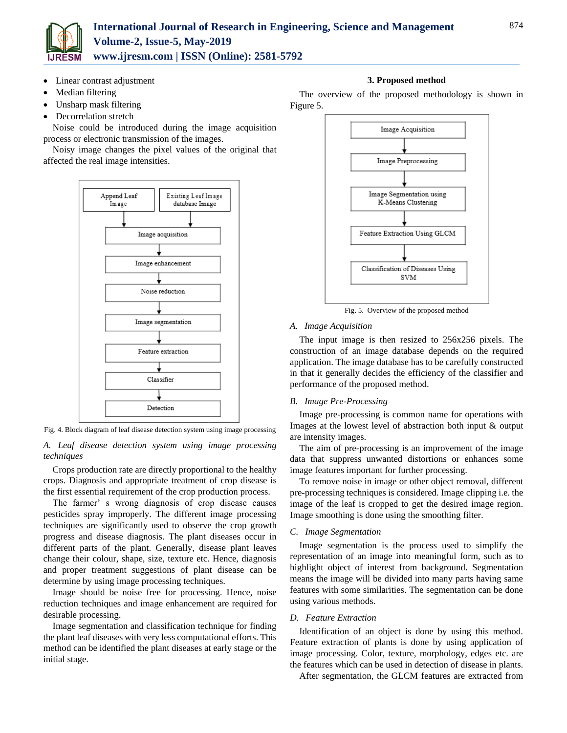

- Linear contrast adjustment
- Median filtering
- Unsharp mask filtering
- Decorrelation stretch

Noise could be introduced during the image acquisition process or electronic transmission of the images.

Noisy image changes the pixel values of the original that affected the real image intensities.



Fig. 4. Block diagram of leaf disease detection system using image processing

*A. Leaf disease detection system using image processing techniques*

Crops production rate are directly proportional to the healthy crops. Diagnosis and appropriate treatment of crop disease is the first essential requirement of the crop production process.

The farmer' s wrong diagnosis of crop disease causes pesticides spray improperly. The different image processing techniques are significantly used to observe the crop growth progress and disease diagnosis. The plant diseases occur in different parts of the plant. Generally, disease plant leaves change their colour, shape, size, texture etc. Hence, diagnosis and proper treatment suggestions of plant disease can be determine by using image processing techniques.

Image should be noise free for processing. Hence, noise reduction techniques and image enhancement are required for desirable processing.

Image segmentation and classification technique for finding the plant leaf diseases with very less computational efforts. This method can be identified the plant diseases at early stage or the initial stage.

# **3. Proposed method**

The overview of the proposed methodology is shown in Figure 5.



Fig. 5. Overview of the proposed method

#### *A. Image Acquisition*

The input image is then resized to 256x256 pixels. The construction of an image database depends on the required application. The image database has to be carefully constructed in that it generally decides the efficiency of the classifier and performance of the proposed method.

# *B. Image Pre-Processing*

Image pre-processing is common name for operations with Images at the lowest level of abstraction both input & output are intensity images.

The aim of pre-processing is an improvement of the image data that suppress unwanted distortions or enhances some image features important for further processing.

To remove noise in image or other object removal, different pre-processing techniques is considered. Image clipping i.e. the image of the leaf is cropped to get the desired image region. Image smoothing is done using the smoothing filter.

## *C. Image Segmentation*

Image segmentation is the process used to simplify the representation of an image into meaningful form, such as to highlight object of interest from background. Segmentation means the image will be divided into many parts having same features with some similarities. The segmentation can be done using various methods.

#### *D. Feature Extraction*

Identification of an object is done by using this method. Feature extraction of plants is done by using application of image processing. Color, texture, morphology, edges etc. are the features which can be used in detection of disease in plants.

After segmentation, the GLCM features are extracted from